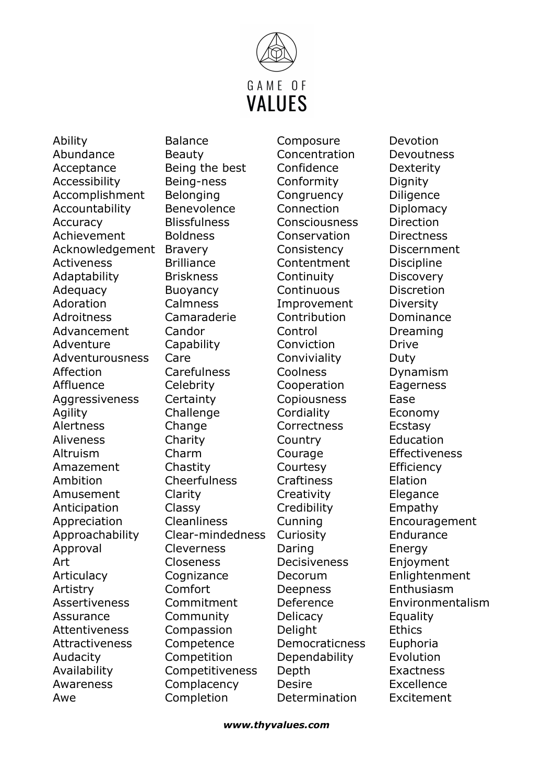

Ability Abundance Acceptance Accessibility Accomplishment Accountability Accuracy Achievement Acknowledgement Activeness Adaptability Adequacy Adoration **Adroitness** Advancement Adventure Adventurousness Affection Affluence Aggressiveness Agility Alertness Aliveness Altruism Amazement Ambition Amusement Anticipation Appreciation Approachability Approval Art **Articulacy** Artistry Assertiveness Assurance Attentiveness Attractiveness Audacity Availability Awareness Awe

Balance Beauty Being the best Being-ness Belonging Benevolence **Blissfulness** Boldness Bravery Brilliance Briskness Buoyancy Calmness Camaraderie Candor **Capability** Care **Carefulness Celebrity Certainty Challenge** Change Charity Charm **Chastity Cheerfulness** Clarity Classy Cleanliness Clear-mindedness Cleverness Closeness **Cognizance** Comfort Commitment Community Compassion Competence Competition Competitiveness **Complacency** Completion

**Composure** Concentration Confidence Conformity **Congruency** Connection Consciousness Conservation **Consistency Contentment** Continuity **Continuous** Improvement Contribution Control Conviction **Conviviality** Coolness Cooperation Copiousness **Cordiality Correctness Country Courage** Courtesy **Craftiness Creativity Credibility** Cunning **Curiosity** Daring Decisiveness Decorum Deepness Deference **Delicacy** Delight Democraticness Dependability Depth Desire Determination

Devotion Devoutness Dexterity Dignity **Diligence Diplomacy** Direction **Directness** Discernment **Discipline Discovery Discretion** Diversity Dominance Dreaming Drive Duty Dynamism **Eagerness** Ease Economy Ecstasy Education **Effectiveness Efficiency** Elation **Elegance** Empathy Encouragement Endurance Energy Enjoyment Enlightenment Enthusiasm Environmentalism **Equality Ethics** Euphoria Evolution Exactness Excellence Excitement

www.thyvalues.com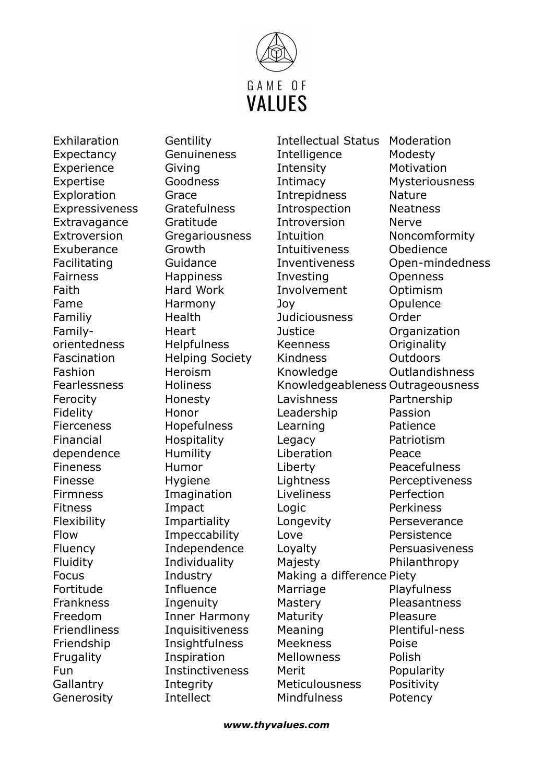

Exhilaration Expectancy Experience Expertise **Exploration** Expressiveness **Extravagance Extroversion** Exuberance Facilitating Fairness Faith Fame Familiy Familyorientedness Fascination Fashion Fearlessness Ferocity Fidelity Fierceness Financial dependence Fineness Finesse Firmness Fitness Flexibility Flow Fluency Fluidity Focus Fortitude Frankness Freedom **Friendliness** Friendship **Frugality** Fun **Gallantry** Generosity

**Gentility** Genuineness Giving Goodness Grace Gratefulness Gratitude **Gregariousness** Growth Guidance **Happiness** Hard Work Harmony Health **Heart Helpfulness** Helping Society Heroism Holiness Honesty Honor Hopefulness **Hospitality** Humility Humor Hygiene **Imagination** Impact Impartiality **Impeccability** Independence Individuality Industry Influence Ingenuity Inner Harmony Inquisitiveness **Insightfulness** Inspiration Instinctiveness **Integrity** Intellect

Intellectual Status **Intelligence** Intensity Intimacy Intrepidness **Introspection** Introversion Intuition Intuitiveness Inventiveness Investing Involvement Joy **Judiciousness Justice** Keenness Kindness Knowledge Knowledgeableness Outrageousness Lavishness Leadership Learning Legacy Liberation Liberty **Lightness** Liveliness Logic Longevity Love Loyalty Majesty Making a difference Piety Marriage **Mastery Maturity** Meaning Meekness **Mellowness** Merit Meticulousness Mindfulness Moderation Modesty

**Motivation** Mysteriousness Nature **Neatness** Nerve Noncomformity **Obedience** Open-mindedness Openness Optimism **Opulence** Order **Organization Originality Outdoors Outlandishness** Partnership Passion Patience Patriotism Peace Peacefulness **Perceptiveness** Perfection Perkiness Perseverance Persistence Persuasiveness Philanthropy Playfulness Pleasantness Pleasure Plentiful-ness Poise Polish Popularity **Positivity** Potency

www.thyvalues.com